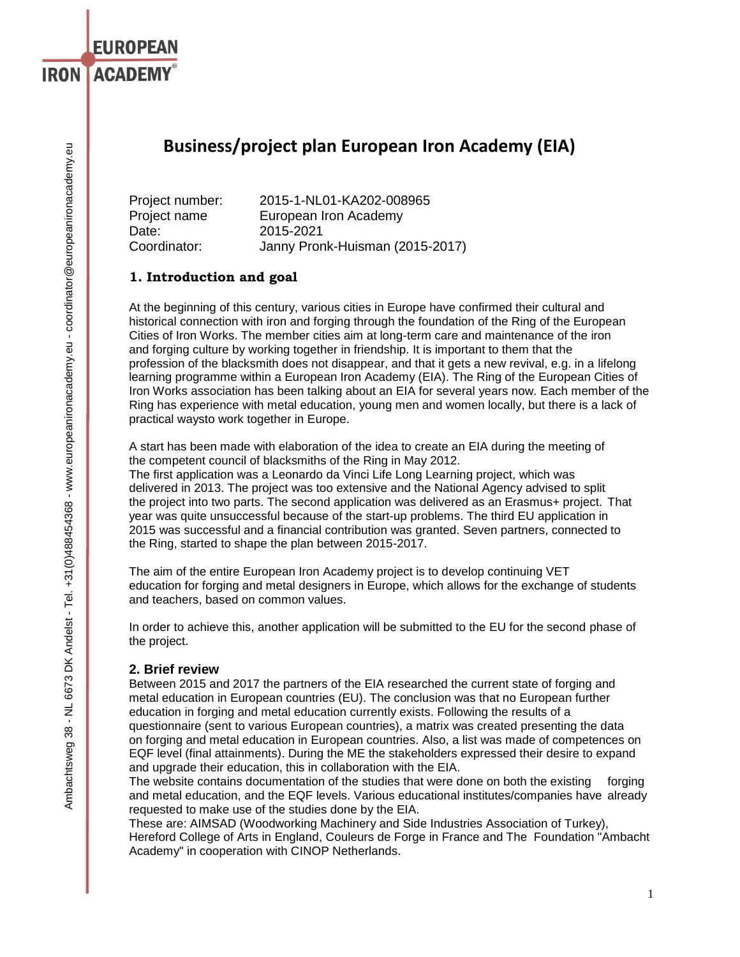# **Business/project plan European Iron Academy (EIA)**

Project number: 2015-1-NL01-KA202-008965 Project name European Iron Academy Date: 2015-2021 Coordinator: Janny Pronk-Huisman (2015-2017)

## **1. Introduction and goal**

**EUROPEAN** 

**IRON LACADEMY®** 

At the beginning of this century, various cities in Europe have confirmed their cultural and historical connection with iron and forging through the foundation of the Ring of the European Cities of Iron Works. The member cities aim at long-term care and maintenance of the iron and forging culture by working together in friendship. It is important to them that the profession of the blacksmith does not disappear, and that it gets a new revival, e.g. in a lifelong learning programme within a European Iron Academy (EIA). The Ring of the European Cities of Iron Works association has been talking about an EIA for several years now. Each member of the Ring has experience with metal education, young men and women locally, but there is a lack of practical waysto work together in Europe.

A start has been made with elaboration of the idea to create an EIA during the meeting of the competent council of blacksmiths of the Ring in May 2012.

The first application was a Leonardo da Vinci Life Long Learning project, which was delivered in 2013. The project was too extensive and the National Agency advised to split the project into two parts. The second application was delivered as an Erasmus+ project. That year was quite unsuccessful because of the start-up problems. The third EU application in 2015 was successful and a financial contribution was granted. Seven partners, connected to the Ring, started to shape the plan between 2015-2017.

The aim of the entire European Iron Academy project is to develop continuing VET education for forging and metal designers in Europe, which allows for the exchange of students and teachers, based on common values.

In order to achieve this, another application will be submitted to the EU for the second phase of the project.

### **2. Brief review**

Between 2015 and 2017 the partners of the EIA researched the current state of forging and metal education in European countries (EU). The conclusion was that no European further education in forging and metal education currently exists. Following the results of a questionnaire (sent to various European countries), a matrix was created presenting the data on forging and metal education in European countries. Also, a list was made of competences on EQF level (final attainments). During the ME the stakeholders expressed their desire to expand and upgrade their education, this in collaboration with the EIA.

The website contains documentation of the studies that were done on both the existing forging and metal education, and the EQF levels. Various educational institutes/companies have already requested to make use of the studies done by the EIA.

These are: AIMSAD (Woodworking Machinery and Side Industries Association of Turkey), Hereford College of Arts in England, Couleurs de Forge in France and The Foundation "Ambacht Academy" in cooperation with CINOP Netherlands.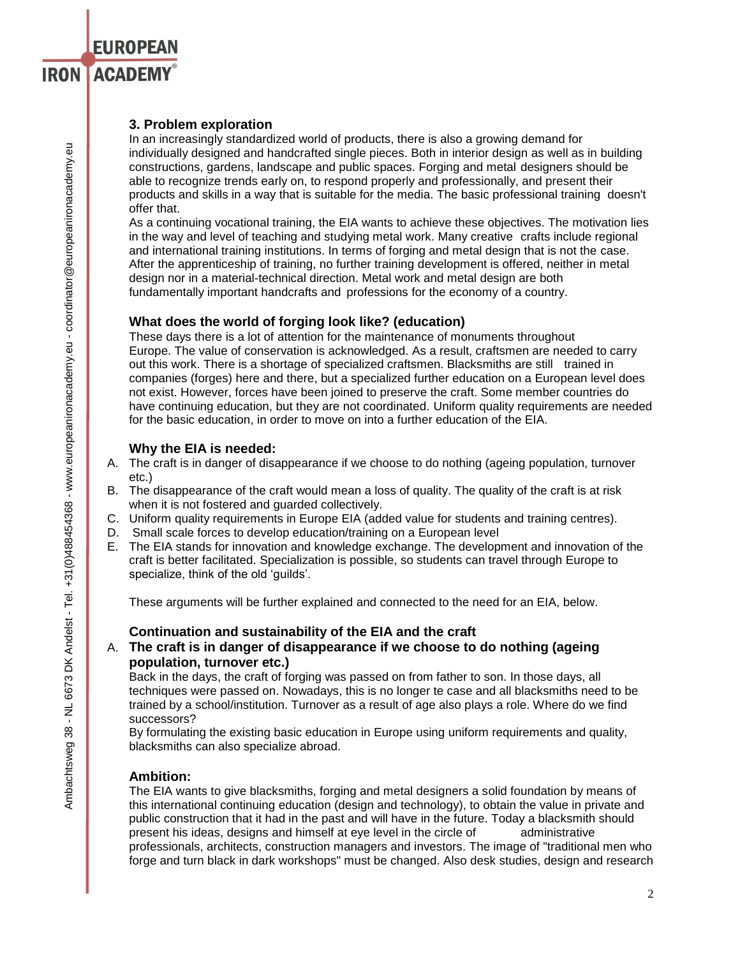### **3. Problem exploration**

**EUROPEAN** 

**IRON ACADEMY®** 

In an increasingly standardized world of products, there is also a growing demand for individually designed and handcrafted single pieces. Both in interior design as well as in building constructions, gardens, landscape and public spaces. Forging and metal designers should be able to recognize trends early on, to respond properly and professionally, and present their products and skills in a way that is suitable for the media. The basic professional training doesn't offer that.

As a continuing vocational training, the EIA wants to achieve these objectives. The motivation lies in the way and level of teaching and studying metal work. Many creative crafts include regional and international training institutions. In terms of forging and metal design that is not the case. After the apprenticeship of training, no further training development is offered, neither in metal design nor in a material-technical direction. Metal work and metal design are both fundamentally important handcrafts and professions for the economy of a country.

### **What does the world of forging look like? (education)**

These days there is a lot of attention for the maintenance of monuments throughout Europe. The value of conservation is acknowledged. As a result, craftsmen are needed to carry out this work. There is a shortage of specialized craftsmen. Blacksmiths are still trained in companies (forges) here and there, but a specialized further education on a European level does not exist. However, forces have been joined to preserve the craft. Some member countries do have continuing education, but they are not coordinated. Uniform quality requirements are needed for the basic education, in order to move on into a further education of the EIA.

### **Why the EIA is needed:**

- A. The craft is in danger of disappearance if we choose to do nothing (ageing population, turnover etc.)
- B. The disappearance of the craft would mean a loss of quality. The quality of the craft is at risk when it is not fostered and guarded collectively.
- C. Uniform quality requirements in Europe EIA (added value for students and training centres).
- D. Small scale forces to develop education/training on a European level
- E. The EIA stands for innovation and knowledge exchange. The development and innovation of the craft is better facilitated. Specialization is possible, so students can travel through Europe to specialize, think of the old 'guilds'.

These arguments will be further explained and connected to the need for an EIA, below.

### **Continuation and sustainability of the EIA and the craft**

## A. **The craft is in danger of disappearance if we choose to do nothing (ageing population, turnover etc.)**

Back in the days, the craft of forging was passed on from father to son. In those days, all techniques were passed on. Nowadays, this is no longer te case and all blacksmiths need to be trained by a school/institution. Turnover as a result of age also plays a role. Where do we find successors?

By formulating the existing basic education in Europe using uniform requirements and quality, blacksmiths can also specialize abroad.

### **Ambition:**

The EIA wants to give blacksmiths, forging and metal designers a solid foundation by means of this international continuing education (design and technology), to obtain the value in private and public construction that it had in the past and will have in the future. Today a blacksmith should present his ideas, designs and himself at eye level in the circle of administrative professionals, architects, construction managers and investors. The image of "traditional men who forge and turn black in dark workshops" must be changed. Also desk studies, design and research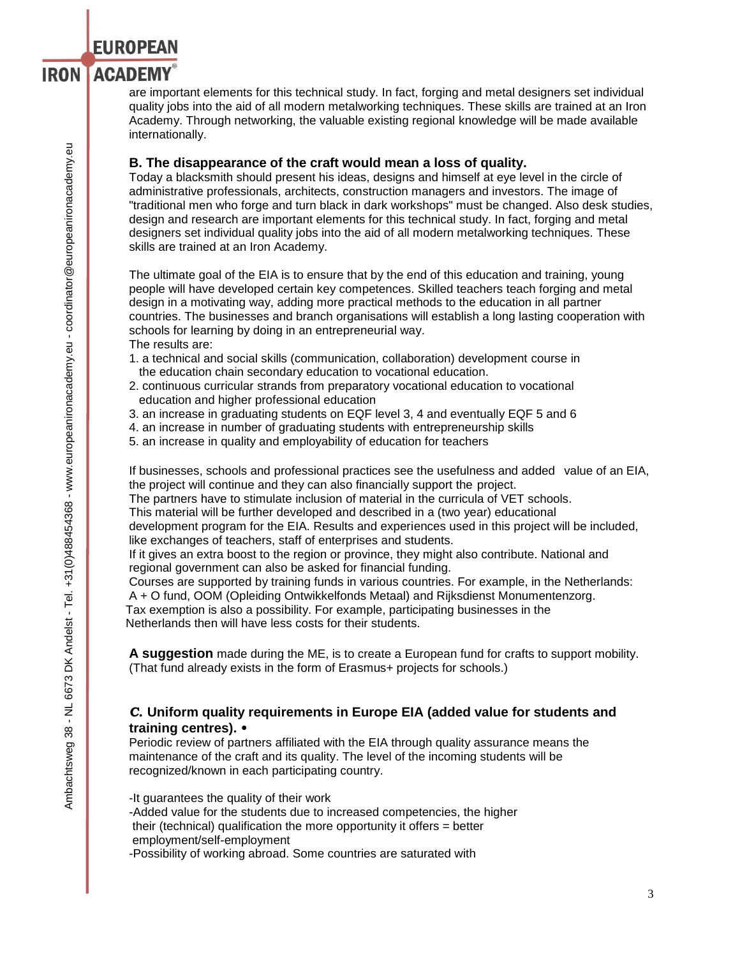#### **ACADEMY**® **IRON**

are important elements for this technical study. In fact, forging and metal designers set individual quality jobs into the aid of all modern metalworking techniques. These skills are trained at an Iron Academy. Through networking, the valuable existing regional knowledge will be made available internationally.

## **B. The disappearance of the craft would mean a loss of quality.**

Today a blacksmith should present his ideas, designs and himself at eye level in the circle of administrative professionals, architects, construction managers and investors. The image of "traditional men who forge and turn black in dark workshops" must be changed. Also desk studies, design and research are important elements for this technical study. In fact, forging and metal designers set individual quality jobs into the aid of all modern metalworking techniques. These skills are trained at an Iron Academy.

The ultimate goal of the EIA is to ensure that by the end of this education and training, young people will have developed certain key competences. Skilled teachers teach forging and metal design in a motivating way, adding more practical methods to the education in all partner countries. The businesses and branch organisations will establish a long lasting cooperation with schools for learning by doing in an entrepreneurial way. The results are:

- 1. a technical and social skills (communication, collaboration) development course in the education chain secondary education to vocational education.
- 2. continuous curricular strands from preparatory vocational education to vocational education and higher professional education
- 3. an increase in graduating students on EQF level 3, 4 and eventually EQF 5 and 6
- 4. an increase in number of graduating students with entrepreneurship skills
- 5. an increase in quality and employability of education for teachers

If businesses, schools and professional practices see the usefulness and added value of an EIA, the project will continue and they can also financially support the project.

The partners have to stimulate inclusion of material in the curricula of VET schools.

This material will be further developed and described in a (two year) educational

development program for the EIA. Results and experiences used in this project will be included, like exchanges of teachers, staff of enterprises and students.

If it gives an extra boost to the region or province, they might also contribute. National and regional government can also be asked for financial funding.

Courses are supported by training funds in various countries. For example, in the Netherlands: A + O fund, OOM (Opleiding Ontwikkelfonds Metaal) and Rijksdienst Monumentenzorg. Tax exemption is also a possibility. For example, participating businesses in the Netherlands then will have less costs for their students.

**A suggestion** made during the ME, is to create a European fund for crafts to support mobility. (That fund already exists in the form of Erasmus+ projects for schools.)

### *C.* **Uniform quality requirements in Europe EIA (added value for students and training centres).** *•*

Periodic review of partners affiliated with the EIA through quality assurance means the maintenance of the craft and its quality. The level of the incoming students will be recognized/known in each participating country.

-It guarantees the quality of their work

-Added value for the students due to increased competencies, the higher their (technical) qualification the more opportunity it offers = better employment/self-employment

-Possibility of working abroad. Some countries are saturated with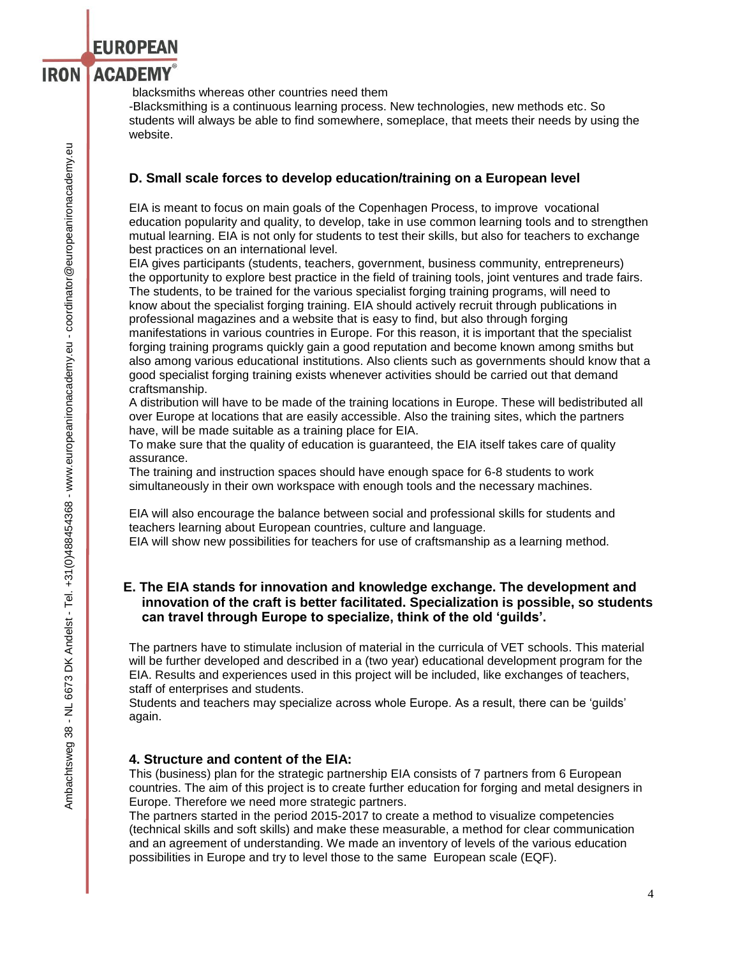blacksmiths whereas other countries need them

**EUROPEAN** 

-Blacksmithing is a continuous learning process. New technologies, new methods etc. So students will always be able to find somewhere, someplace, that meets their needs by using the website.

### **D. Small scale forces to develop education/training on a European level**

EIA is meant to focus on main goals of the Copenhagen Process, to improve vocational education popularity and quality, to develop, take in use common learning tools and to strengthen mutual learning. EIA is not only for students to test their skills, but also for teachers to exchange best practices on an international level.

EIA gives participants (students, teachers, government, business community, entrepreneurs) the opportunity to explore best practice in the field of training tools, joint ventures and trade fairs. The students, to be trained for the various specialist forging training programs, will need to know about the specialist forging training. EIA should actively recruit through publications in professional magazines and a website that is easy to find, but also through forging manifestations in various countries in Europe. For this reason, it is important that the specialist forging training programs quickly gain a good reputation and become known among smiths but also among various educational institutions. Also clients such as governments should know that a good specialist forging training exists whenever activities should be carried out that demand craftsmanship.

A distribution will have to be made of the training locations in Europe. These will bedistributed all over Europe at locations that are easily accessible. Also the training sites, which the partners have, will be made suitable as a training place for EIA.

To make sure that the quality of education is guaranteed, the EIA itself takes care of quality assurance.

The training and instruction spaces should have enough space for 6-8 students to work simultaneously in their own workspace with enough tools and the necessary machines.

EIA will also encourage the balance between social and professional skills for students and teachers learning about European countries, culture and language. EIA will show new possibilities for teachers for use of craftsmanship as a learning method.

### **E. The EIA stands for innovation and knowledge exchange. The development and innovation of the craft is better facilitated. Specialization is possible, so students can travel through Europe to specialize, think of the old 'guilds'.**

The partners have to stimulate inclusion of material in the curricula of VET schools. This material will be further developed and described in a (two year) educational development program for the EIA. Results and experiences used in this project will be included, like exchanges of teachers, staff of enterprises and students.

Students and teachers may specialize across whole Europe. As a result, there can be 'guilds' again.

### **4. Structure and content of the EIA:**

This (business) plan for the strategic partnership EIA consists of 7 partners from 6 European countries. The aim of this project is to create further education for forging and metal designers in Europe. Therefore we need more strategic partners.

The partners started in the period 2015-2017 to create a method to visualize competencies (technical skills and soft skills) and make these measurable, a method for clear communication and an agreement of understanding. We made an inventory of levels of the various education possibilities in Europe and try to level those to the same European scale (EQF).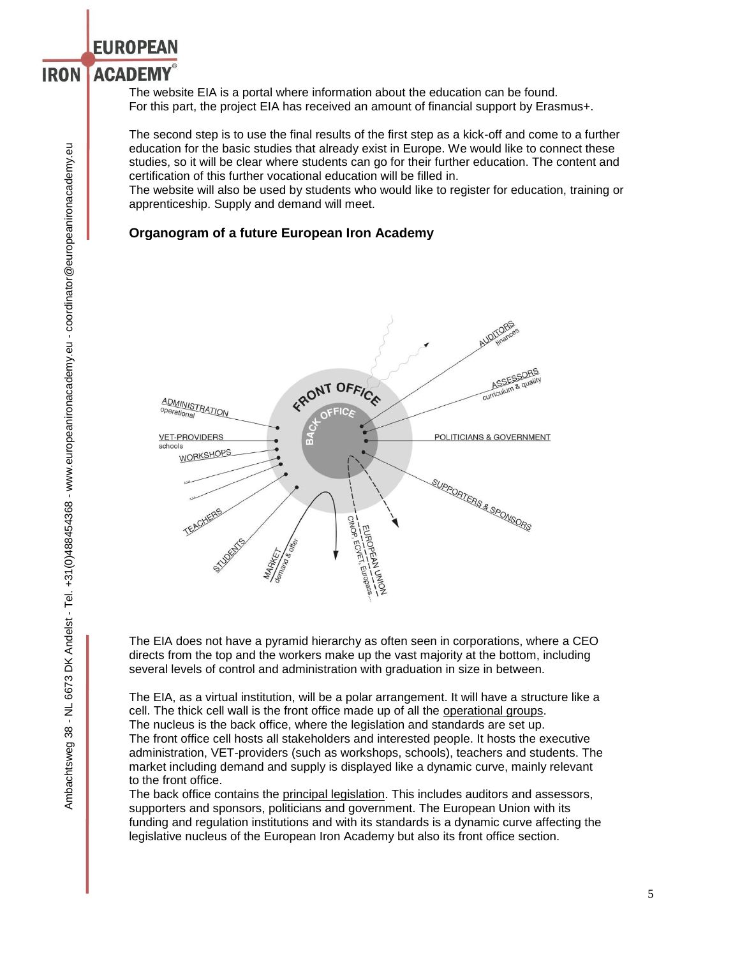**EUROPEAN** 

#### **ACADEMY IRON**

The website EIA is a portal where information about the education can be found. For this part, the project EIA has received an amount of financial support by Erasmus+.

The second step is to use the final results of the first step as a kick-off and come to a further education for the basic studies that already exist in Europe. We would like to connect these studies, so it will be clear where students can go for their further education. The content and certification of this further vocational education will be filled in.

The website will also be used by students who would like to register for education, training or apprenticeship. Supply and demand will meet.

### **Organogram of a future European Iron Academy**



The EIA does not have a pyramid hierarchy as often seen in corporations, where a CEO directs from the top and the workers make up the vast majority at the bottom, including several levels of control and administration with graduation in size in between.

The EIA, as a virtual institution, will be a polar arrangement. It will have a structure like a cell. The thick cell wall is the front office made up of all the operational groups. The nucleus is the back office, where the legislation and standards are set up. The front office cell hosts all stakeholders and interested people. It hosts the executive administration, VET-providers (such as workshops, schools), teachers and students. The market including demand and supply is displayed like a dynamic curve, mainly relevant to the front office.

The back office contains the principal legislation. This includes auditors and assessors, supporters and sponsors, politicians and government. The European Union with its funding and regulation institutions and with its standards is a dynamic curve affecting the legislative nucleus of the European Iron Academy but also its front office section.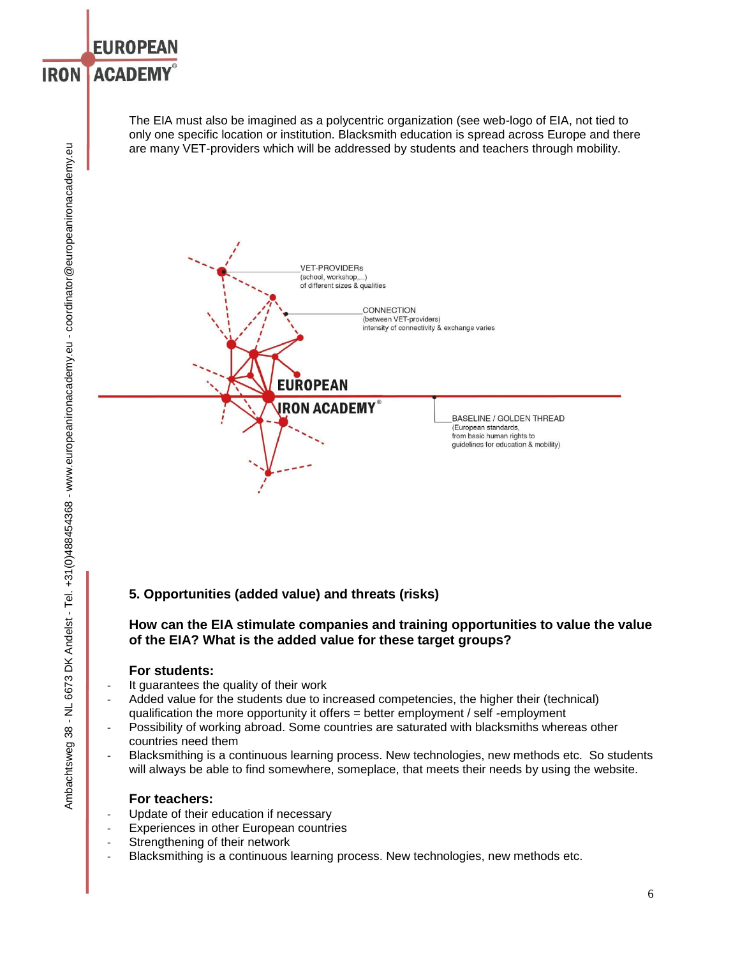### **EUROPEAN ACADEMY IRON**

The EIA must also be imagined as a polycentric organization (see web-logo of EIA, not tied to only one specific location or institution. Blacksmith education is spread across Europe and there are many VET-providers which will be addressed by students and teachers through mobility.



# **5. Opportunities (added value) and threats (risks)**

### **How can the EIA stimulate companies and training opportunities to value the value of the EIA? What is the added value for these target groups?**

## **For students:**

- It guarantees the quality of their work
- Added value for the students due to increased competencies, the higher their (technical) qualification the more opportunity it offers = better employment / self -employment
- Possibility of working abroad. Some countries are saturated with blacksmiths whereas other countries need them
- Blacksmithing is a continuous learning process. New technologies, new methods etc. So students will always be able to find somewhere, someplace, that meets their needs by using the website.

### **For teachers:**

- Update of their education if necessary
- Experiences in other European countries
- Strengthening of their network
- Blacksmithing is a continuous learning process. New technologies, new methods etc.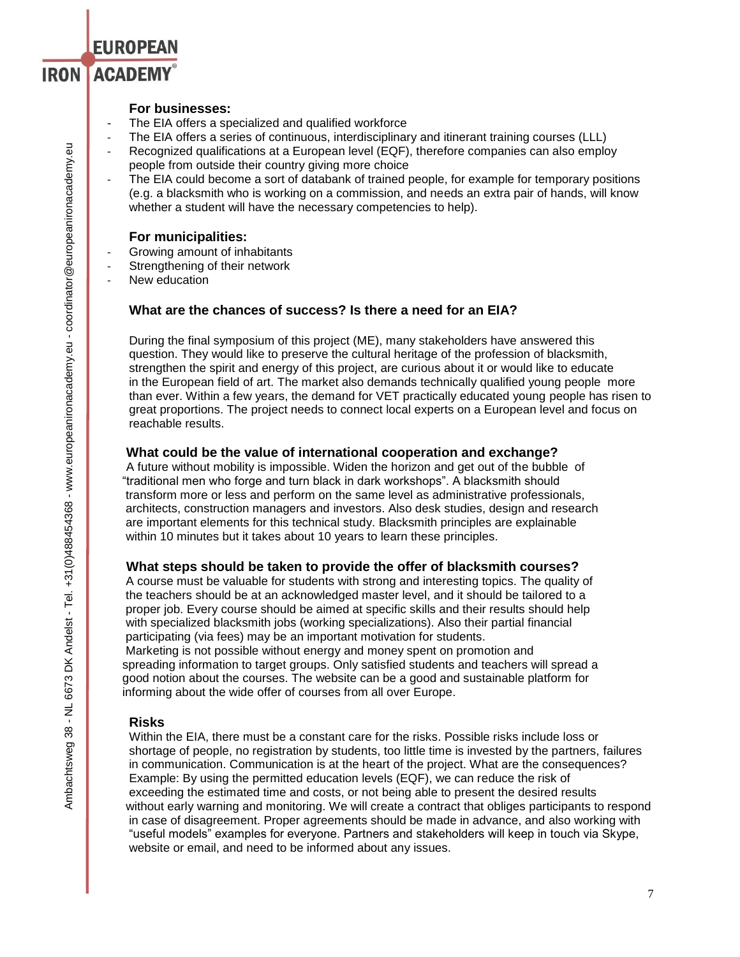### **For businesses:**

**EUROPEAN** 

**IRON ACADEMY®** 

- The EIA offers a specialized and qualified workforce
- The EIA offers a series of continuous, interdisciplinary and itinerant training courses (LLL)
- Recognized qualifications at a European level (EQF), therefore companies can also employ people from outside their country giving more choice
- The EIA could become a sort of databank of trained people, for example for temporary positions (e.g. a blacksmith who is working on a commission, and needs an extra pair of hands, will know whether a student will have the necessary competencies to help).

### **For municipalities:**

- Growing amount of inhabitants
- Strengthening of their network
- New education

### **What are the chances of success? Is there a need for an EIA?**

During the final symposium of this project (ME), many stakeholders have answered this question. They would like to preserve the cultural heritage of the profession of blacksmith, strengthen the spirit and energy of this project, are curious about it or would like to educate in the European field of art. The market also demands technically qualified young people more than ever. Within a few years, the demand for VET practically educated young people has risen to great proportions. The project needs to connect local experts on a European level and focus on reachable results.

### **What could be the value of international cooperation and exchange?**

 A future without mobility is impossible. Widen the horizon and get out of the bubble of "traditional men who forge and turn black in dark workshops". A blacksmith should transform more or less and perform on the same level as administrative professionals, architects, construction managers and investors. Also desk studies, design and research are important elements for this technical study. Blacksmith principles are explainable within 10 minutes but it takes about 10 years to learn these principles.

### **What steps should be taken to provide the offer of blacksmith courses?**

 A course must be valuable for students with strong and interesting topics. The quality of the teachers should be at an acknowledged master level, and it should be tailored to a proper job. Every course should be aimed at specific skills and their results should help with specialized blacksmith jobs (working specializations). Also their partial financial participating (via fees) may be an important motivation for students.

 Marketing is not possible without energy and money spent on promotion and spreading information to target groups. Only satisfied students and teachers will spread a good notion about the courses. The website can be a good and sustainable platform for informing about the wide offer of courses from all over Europe.

### **Risks**

Within the EIA, there must be a constant care for the risks. Possible risks include loss or shortage of people, no registration by students, too little time is invested by the partners, failures in communication. Communication is at the heart of the project. What are the consequences? Example: By using the permitted education levels (EQF), we can reduce the risk of exceeding the estimated time and costs, or not being able to present the desired results without early warning and monitoring. We will create a contract that obliges participants to respond in case of disagreement. Proper agreements should be made in advance, and also working with "useful models" examples for everyone. Partners and stakeholders will keep in touch via Skype, website or email, and need to be informed about any issues.